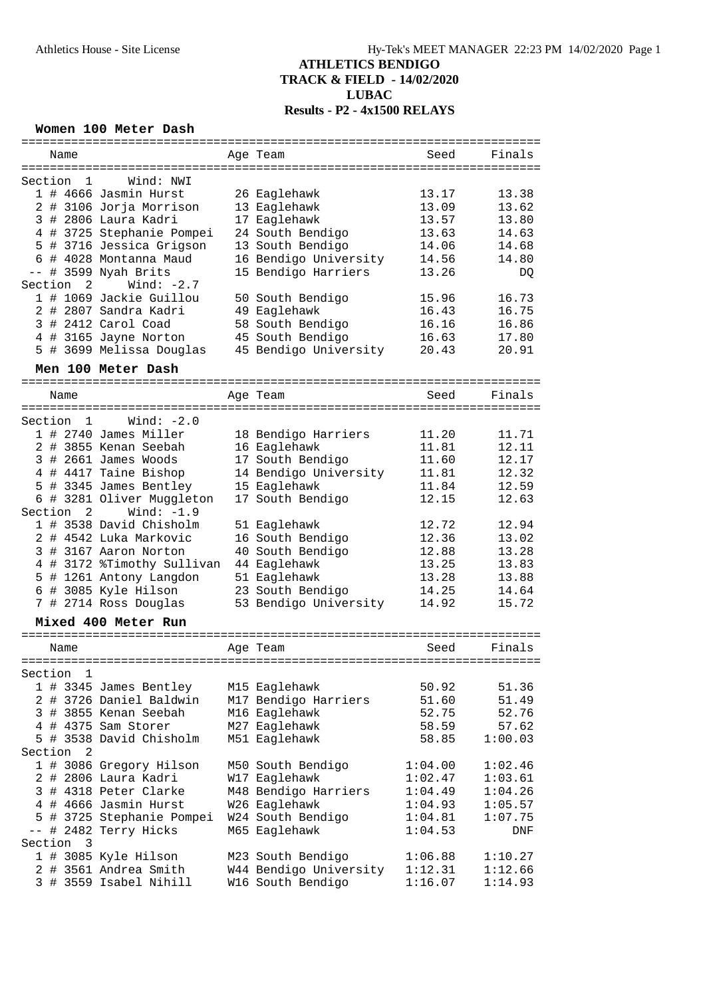## **ATHLETICS BENDIGO TRACK & FIELD - 14/02/2020 LUBAC Results - P2 - 4x1500 RELAYS**

#### **Women 100 Meter Dash**

| ==========                     | ==========             | ==================== | ======== |
|--------------------------------|------------------------|----------------------|----------|
| Name                           | Age Team               | Seed                 | Finals   |
|                                |                        |                      |          |
| Section<br>Wind: NWI<br>1      |                        |                      |          |
| 1 # 4666 Jasmin Hurst          | 26 Eaglehawk           | 13.17                | 13.38    |
| 2 # 3106 Jorja Morrison        | 13 Eaglehawk           | 13.09                | 13.62    |
| 3 # 2806 Laura Kadri           | 17 Eaglehawk           | 13.57                | 13.80    |
|                                |                        |                      | 14.63    |
| 4 # 3725 Stephanie Pompei      | 24 South Bendigo       | 13.63                |          |
| # 3716 Jessica Grigson<br>5    | 13 South Bendigo       | 14.06                | 14.68    |
| 6 # 4028 Montanna Maud         | 16 Bendigo University  | 14.56                | 14.80    |
| # 3599 Nyah Brits<br>$ -$      | 15 Bendigo Harriers    | 13.26                | DQ       |
| Section 2<br>Wind: $-2.7$      |                        |                      |          |
| 1 # 1069 Jackie Guillou        | 50 South Bendigo       | 15.96                | 16.73    |
| 2 # 2807 Sandra Kadri          | 49 Eaglehawk           | 16.43                | 16.75    |
| 3 # 2412 Carol Coad            | 58 South Bendigo       | 16.16                | 16.86    |
| 4 # 3165 Jayne Norton          | 45 South Bendigo       | 16.63                | 17.80    |
| 5 # 3699 Melissa Douglas       | 45 Bendigo University  | 20.43                | 20.91    |
|                                |                        |                      |          |
| Men 100 Meter Dash             |                        |                      |          |
| ============================== |                        |                      |          |
| Name                           | Age Team               | Seed                 | Finals   |
|                                |                        |                      |          |
| Wind: $-2.0$<br>Section 1      |                        |                      |          |
| 1 # 2740 James Miller          | 18 Bendigo Harriers    | 11.20                | 11.71    |
| 2 # 3855 Kenan Seebah          | 16 Eaglehawk           | 11.81                | 12.11    |
| 3 # 2661 James Woods           | 17 South Bendigo       | 11.60                | 12.17    |
| 4 # 4417 Taine Bishop          | 14 Bendigo University  | 11.81                | 12.32    |
| # 3345 James Bentley<br>5      | 15 Eaglehawk           | 11.84                | 12.59    |
| # 3281 Oliver Muggleton<br>6   | 17 South Bendigo       | 12.15                | 12.63    |
| Wind: $-1.9$                   |                        |                      |          |
| Section <sub>2</sub>           |                        |                      |          |
| 1 # 3538 David Chisholm        | 51 Eaglehawk           | 12.72                | 12.94    |
| 2 # 4542 Luka Markovic         | 16 South Bendigo       | 12.36                | 13.02    |
| # 3167 Aaron Norton<br>3       | 40 South Bendigo       | 12.88                | 13.28    |
| 4 # 3172 %Timothy Sullivan     | 44 Eaglehawk           | 13.25                | 13.83    |
| 5 # 1261 Antony Langdon        | 51 Eaglehawk           | 13.28                | 13.88    |
| 6 # 3085 Kyle Hilson           | 23 South Bendigo       | 14.25                | 14.64    |
| 7 # 2714 Ross Douglas          | 53 Bendigo University  | 14.92                | 15.72    |
|                                |                        |                      |          |
| Mixed 400 Meter Run            |                        |                      |          |
|                                |                        |                      |          |
| Name                           | Age Team               | Seed                 | Finals   |
|                                |                        |                      |          |
| Section<br>1                   |                        |                      |          |
| 1 # 3345 James Bentley         | M15 Eaglehawk          | 50.92                | 51.36    |
| 2 # 3726 Daniel Baldwin        | M17 Bendigo Harriers   | 51.60                | 51.49    |
| 3 # 3855 Kenan Seebah          | M16 Eaglehawk          | 52.75                | 52.76    |
| 4 # 4375 Sam Storer            | M27 Eaglehawk          | 58.59                | 57.62    |
| 5 # 3538 David Chisholm        | M51 Eaglehawk          | 58.85                | 1:00.03  |
| Section<br>2                   |                        |                      |          |
| 1 # 3086 Gregory Hilson        | M50 South Bendigo      | 1:04.00              | 1:02.46  |
| 2 # 2806 Laura Kadri           | W17 Eaglehawk          | 1:02.47              | 1:03.61  |
| 3 # 4318 Peter Clarke          | M48 Bendigo Harriers   | 1:04.49              | 1:04.26  |
| 4 # 4666 Jasmin Hurst          | W26 Eaglehawk          | 1:04.93              |          |
|                                |                        |                      | 1:05.57  |
| 5 # 3725 Stephanie Pompei      | W24 South Bendigo      | 1:04.81              | 1:07.75  |
| -- # 2482 Terry Hicks          | M65 Eaglehawk          | 1:04.53              | DNF      |
| 3<br>Section                   |                        |                      |          |
| 1 # 3085 Kyle Hilson           | M23 South Bendigo      | 1:06.88              | 1:10.27  |
| 2 # 3561 Andrea Smith          | W44 Bendigo University | 1:12.31              | 1:12.66  |
| 3 # 3559 Isabel Nihill         | W16 South Bendigo      | 1:16.07              | 1:14.93  |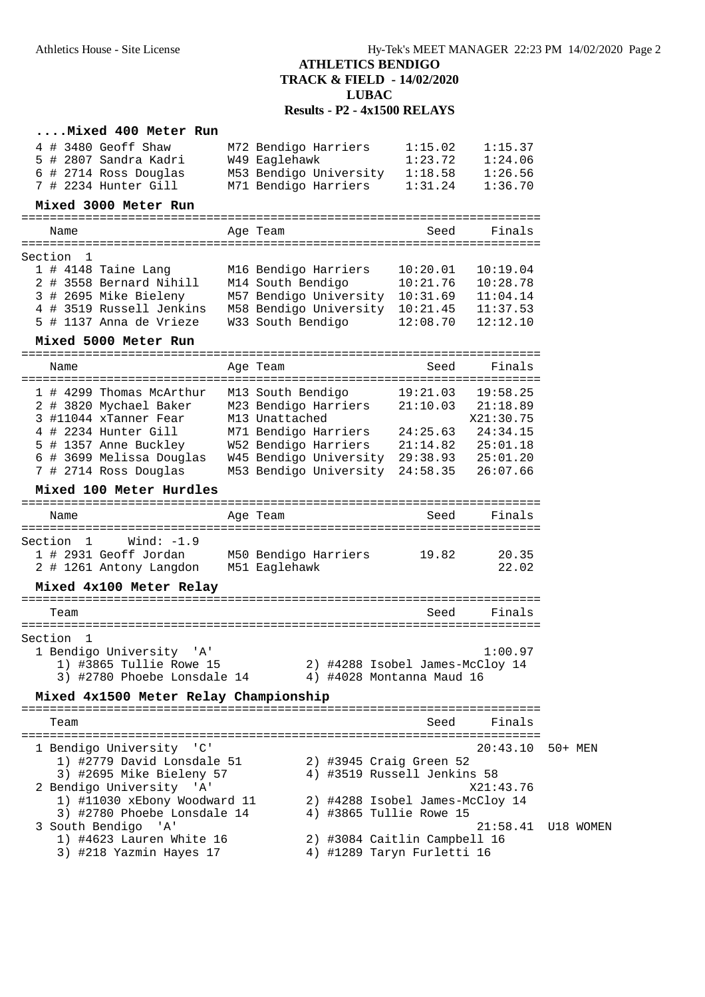## **ATHLETICS BENDIGO TRACK & FIELD - 14/02/2020 LUBAC Results - P2 - 4x1500 RELAYS**

| Mixed 400 Meter Run                                |                                 |                      |                       |           |
|----------------------------------------------------|---------------------------------|----------------------|-----------------------|-----------|
| 4 # 3480 Geoff Shaw                                | M72 Bendigo Harriers            | 1:15.02              | 1:15.37               |           |
| 5 # 2807 Sandra Kadri                              | W49 Eaglehawk                   | 1:23.72              | 1:24.06               |           |
| 6 # 2714 Ross Douglas                              | M53 Bendigo University 1:18.58  |                      | 1:26.56               |           |
| 7 # 2234 Hunter Gill                               | M71 Bendigo Harriers            | 1:31.24              | 1:36.70               |           |
| Mixed 3000 Meter Run                               |                                 |                      |                       |           |
| Name                                               | Age Team                        | Seed                 | Finals                |           |
|                                                    |                                 |                      |                       |           |
| Section 1                                          |                                 |                      |                       |           |
| 1 # 4148 Taine Lang                                | M16 Bendigo Harriers            | 10:20.01             | 10:19.04              |           |
| 2 # 3558 Bernard Nihill                            | M14 South Bendigo               | 10:21.76             | 10:28.78              |           |
| 3 # 2695 Mike Bieleny                              | M57 Bendigo University          | 10:31.69             | 11:04.14              |           |
| 4 # 3519 Russell Jenkins                           | M58 Bendigo University          | 10:21.45             | 11:37.53              |           |
| 5 # 1137 Anna de Vrieze                            | W33 South Bendigo               | 12:08.70             | 12:12.10              |           |
| Mixed 5000 Meter Run                               |                                 |                      |                       |           |
| =============================<br>Name              | Age Team                        | Seed                 | Finals                |           |
|                                                    | M13 South Bendigo               |                      | ===================== |           |
| 1 # 4299 Thomas McArthur<br>2 # 3820 Mychael Baker | M23 Bendigo Harriers            | 19:21.03<br>21:10.03 | 19:58.25<br>21:18.89  |           |
| 3 #11044 xTanner Fear                              | M13 Unattached                  |                      | X21:30.75             |           |
| 4 # 2234 Hunter Gill                               | M71 Bendigo Harriers            | 24:25.63             | 24:34.15              |           |
| 5 # 1357 Anne Buckley                              | W52 Bendigo Harriers            | 21:14.82             | 25:01.18              |           |
| 6 # 3699 Melissa Douglas                           | W45 Bendigo University 29:38.93 |                      | 25:01.20              |           |
| 7 # 2714 Ross Douglas                              | M53 Bendigo University          | 24:58.35             | 26:07.66              |           |
| Mixed 100 Meter Hurdles                            |                                 |                      |                       |           |
|                                                    |                                 |                      |                       |           |
| Name                                               | Age Team                        | Seed                 | Finals                |           |
| Wind: $-1.9$<br>Section 1                          |                                 |                      |                       |           |
| 1 # 2931 Geoff Jordan                              | M50 Bendigo Harriers            | 19.82                | 20.35                 |           |
| 2 # 1261 Antony Langdon                            | M51 Eaglehawk                   |                      | 22.02                 |           |
| Mixed 4x100 Meter Relay                            |                                 |                      |                       |           |
|                                                    |                                 |                      |                       |           |
| Team                                               |                                 | Seed                 | Finals                |           |
|                                                    |                                 |                      |                       |           |
| Section 1                                          |                                 |                      |                       |           |
| 1 Bendigo University<br>'A'                        |                                 |                      | 1:00.97               |           |
| 1) #3865 Tullie Rowe 15                            | 2) #4288 Isobel James-McCloy 14 |                      |                       |           |
| 3) #2780 Phoebe Lonsdale 14                        | 4) #4028 Montanna Maud 16       |                      |                       |           |
| Mixed 4x1500 Meter Relay Championship              |                                 |                      |                       |           |
| Team                                               |                                 | Seed                 | Finals                |           |
|                                                    |                                 |                      |                       |           |
| 1 Bendigo University 'C'                           |                                 |                      | 20:43.10              | 50+ MEN   |
| 1) #2779 David Lonsdale 51                         | 2) #3945 Craig Green 52         |                      |                       |           |
| 3) #2695 Mike Bieleny 57                           | 4) #3519 Russell Jenkins 58     |                      |                       |           |
| 2 Bendigo University 'A'                           |                                 |                      | X21:43.76             |           |
| 1) #11030 xEbony Woodward 11                       | 2) #4288 Isobel James-McCloy 14 |                      |                       |           |
| 3) #2780 Phoebe Lonsdale 14                        | 4) #3865 Tullie Rowe 15         |                      |                       |           |
| 3 South Bendigo 'A'                                |                                 |                      | 21:58.41              | U18 WOMEN |
| 1) #4623 Lauren White 16                           | 2) #3084 Caitlin Campbell 16    |                      |                       |           |

- 3) #218 Yazmin Hayes 17 4) #1289 Taryn Furletti 16
-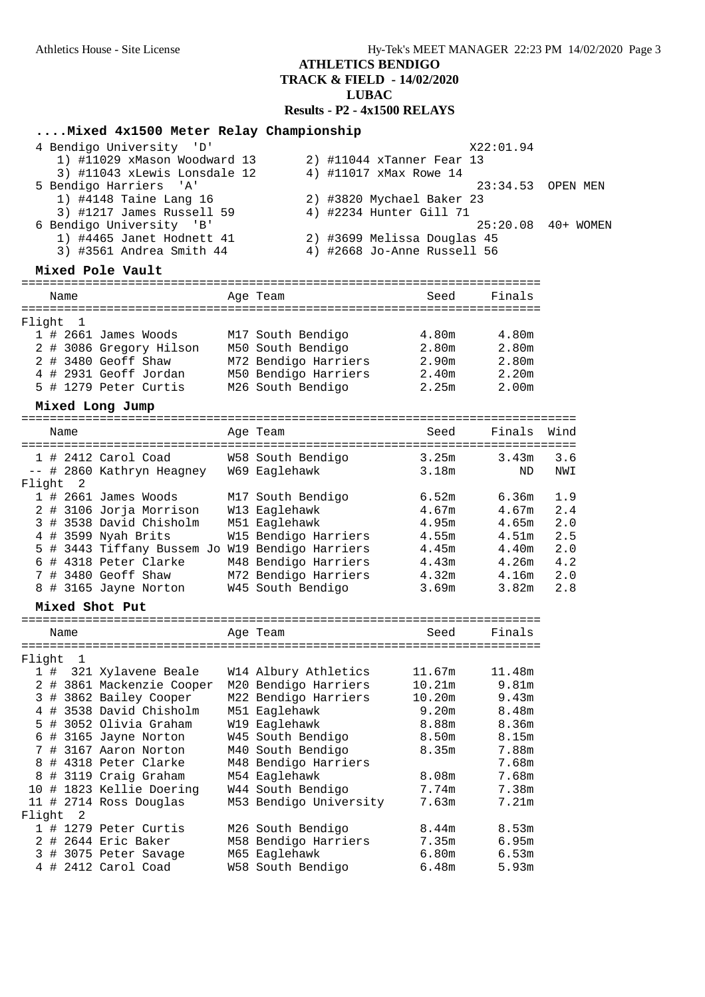# **ATHLETICS BENDIGO**

## **TRACK & FIELD - 14/02/2020**

**LUBAC**

**Results - P2 - 4x1500 RELAYS**

| Mixed 4x1500 Meter Relay Championship           |                         |                             |                   |                     |
|-------------------------------------------------|-------------------------|-----------------------------|-------------------|---------------------|
| 4 Bendigo University 'D'                        |                         |                             | X22:01.94         |                     |
| 1) #11029 xMason Woodward 13                    |                         | 2) #11044 xTanner Fear 13   |                   |                     |
| 3) #11043 xLewis Lonsdale 12                    | 4) #11017 xMax Rowe 14  |                             |                   |                     |
| 5 Bendigo Harriers 'A'                          |                         |                             | 23:34.53          | OPEN MEN            |
| 1) #4148 Taine Lang 16                          |                         | 2) #3820 Mychael Baker 23   |                   |                     |
| 3) #1217 James Russell 59                       | 4) #2234 Hunter Gill 71 |                             |                   |                     |
| 6 Bendigo University 'B'                        |                         |                             |                   | 25:20.08  40+ WOMEN |
| 1) #4465 Janet Hodnett 41                       |                         | 2) #3699 Melissa Douglas 45 |                   |                     |
| 3) #3561 Andrea Smith 44                        |                         | 4) #2668 Jo-Anne Russell 56 |                   |                     |
|                                                 |                         |                             |                   |                     |
| Mixed Pole Vault                                |                         |                             |                   |                     |
| Name                                            | Age Team                | Seed                        | Finals            |                     |
|                                                 |                         |                             |                   |                     |
| Flight<br>$\mathbf{1}$                          |                         |                             |                   |                     |
| 1 # 2661 James Woods                            | M17 South Bendigo       | 4.80m                       | 4.80m             |                     |
| 2 # 3086 Gregory Hilson                         | M50 South Bendigo       | 2.80m                       | 2.80m             |                     |
| 2 # 3480 Geoff Shaw                             | M72 Bendigo Harriers    | 2.90m                       | 2.80m             |                     |
| 4 # 2931 Geoff Jordan                           | M50 Bendigo Harriers    | 2.40m                       | 2.20 <sub>m</sub> |                     |
| 5 # 1279 Peter Curtis                           | M26 South Bendigo       | 2.25m                       | 2.00 <sub>m</sub> |                     |
|                                                 |                         |                             |                   |                     |
| Mixed Long Jump                                 |                         |                             |                   |                     |
| Name                                            | Age Team                | Seed                        | Finals            | Wind                |
| =====================================           |                         |                             |                   |                     |
| $1$ # 2412 Carol Coad                           | W58 South Bendigo       | 3.25m                       | 3.43m             | 3.6                 |
| -- # 2860 Kathryn Heagney                       | W69 Eaglehawk           | 3.18m                       | ND                | NWI                 |
| Flight 2                                        |                         |                             |                   |                     |
| $1$ # 2661 James Woods                          | M17 South Bendigo       | 6.52m                       | 6.36m             | 1.9                 |
| 2 # 3106 Jorja Morrison                         | W13 Eaglehawk           | 4.67m                       | 4.67m             | 2.4                 |
| 3 # 3538 David Chisholm                         | M51 Eaglehawk           | 4.95m                       | 4.65m             | 2.0                 |
|                                                 |                         |                             |                   |                     |
| 4 # 3599 Nyah Brits                             | W15 Bendigo Harriers    | 4.55m                       | 4.51m             | 2.5                 |
| 5 # 3443 Tiffany Bussem Jo W19 Bendigo Harriers |                         | 4.45m                       | 4.40m             | 2.0                 |
| 6 # 4318 Peter Clarke                           | M48 Bendigo Harriers    | 4.43m                       | 4.26m             | 4.2                 |
| 7 # 3480 Geoff Shaw                             | M72 Bendigo Harriers    | 4.32m                       | 4.16m             | 2.0                 |
| 8 # 3165 Jayne Norton                           | W45 South Bendigo       | 3.69m                       | 3.82m             | 2.8                 |
| Mixed Shot Put                                  |                         |                             |                   |                     |
|                                                 | Age Team                |                             | Finals            |                     |
| Name                                            |                         | Seed                        |                   |                     |
| Flight<br>$\mathbf 1$                           |                         |                             |                   |                     |
| 1#<br>321 Xylavene Beale                        | W14 Albury Athletics    | 11.67m                      | 11.48m            |                     |
| 2 # 3861 Mackenzie Cooper                       | M20 Bendigo Harriers    | 10.21m                      | 9.81m             |                     |
| 3 # 3862 Bailey Cooper                          | M22 Bendigo Harriers    | 10.20m                      | 9.43m             |                     |
| 4 # 3538 David Chisholm                         | M51 Eaglehawk           | 9.20m                       | 8.48m             |                     |
| 5 # 3052 Olivia Graham                          | W19 Eaglehawk           | 8.88m                       | 8.36m             |                     |
|                                                 |                         |                             |                   |                     |
| 6 # 3165 Jayne Norton                           | W45 South Bendigo       | 8.50m                       | 8.15m             |                     |
| 7 # 3167 Aaron Norton                           | M40 South Bendigo       | 8.35m                       | 7.88m             |                     |
| 8 # 4318 Peter Clarke                           | M48 Bendigo Harriers    |                             | 7.68m             |                     |
| # 3119 Craig Graham<br>8                        | M54 Eaglehawk           | 8.08m                       | 7.68m             |                     |
| 10 # 1823 Kellie Doering                        | W44 South Bendigo       | 7.74m                       | 7.38m             |                     |
| 11 # 2714 Ross Douglas                          | M53 Bendigo University  | 7.63m                       | 7.21m             |                     |
| $\overline{\phantom{0}}^2$<br>Flight            |                         |                             |                   |                     |
| 1 # 1279 Peter Curtis                           | M26 South Bendigo       | 8.44m                       | 8.53m             |                     |
| 2 # 2644 Eric Baker                             | M58 Bendigo Harriers    | 7.35m                       | 6.95m             |                     |
| 3 # 3075 Peter Savage                           | M65 Eaglehawk           | 6.80m                       | 6.53m             |                     |
| 4 # 2412 Carol Coad                             | W58 South Bendigo       | 6.48m                       | 5.93m             |                     |
|                                                 |                         |                             |                   |                     |